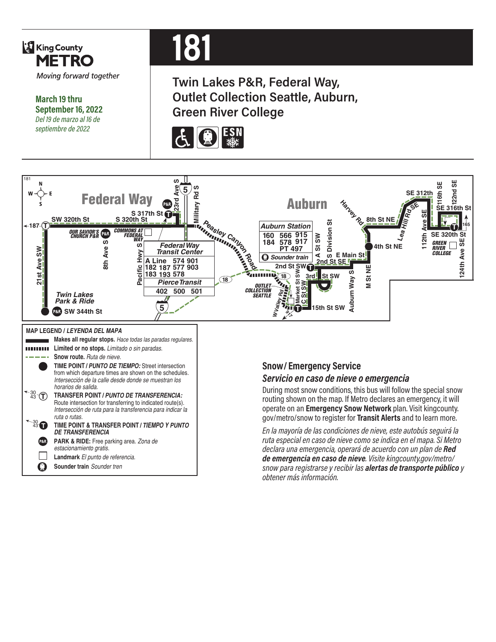

**March 19 thru September 16, 2022** *Del 19 de marzo al 16 de septiembre de 2022*

# **181**

**Twin Lakes P&R, Federal Way, Outlet Collection Seattle, Auburn, Green River College**





*snow para registrarse y recibir las alertas de transporte público y* 

*obtener más información.*

O **Sounder train** *Sounder tren*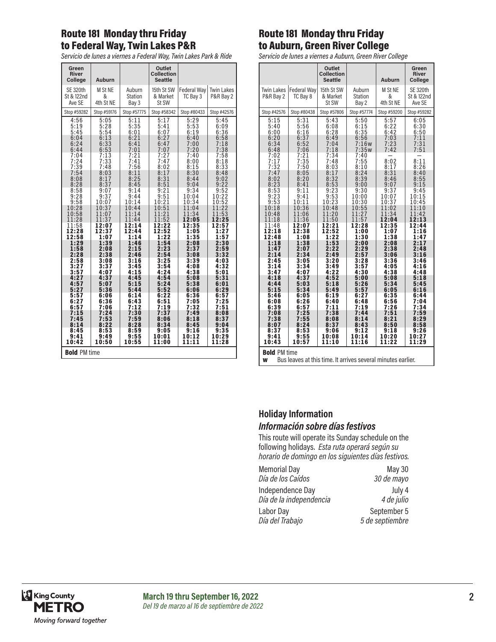# Route 181 Monday thru Friday to Federal Way, Twin Lakes P&R

*Servicio de lunes a viernes a Federal Way, Twin Lakes Park & Ride*

| Green<br><b>River</b><br>College        | <b>Auburn</b>             |                                   | Outlet<br><b>Collection</b><br><b>Seattle</b> |                                |                                |
|-----------------------------------------|---------------------------|-----------------------------------|-----------------------------------------------|--------------------------------|--------------------------------|
| <b>SE 320th</b><br>St & 122nd<br>Ave SE | M St NE<br>&<br>4th St NE | Auburn<br><b>Station</b><br>Bay 3 | 15th St SW<br>& Market<br>St SW               | <b>Federal Way</b><br>TC Bay 3 | <b>Twin Lakes</b><br>P&R Bay 2 |
| Stop #59282                             | Stop #59176               | Stop #57775                       | Stop #58342                                   | Stop #80433                    | Stop #42576                    |
| 4:56                                    | 5:05                      | 5:11                              | 5:17                                          | 5:29                           | 5:45                           |
| 5:19                                    | 5:28                      | 5:35                              | 5:41                                          | 5:53                           | 6:09                           |
| 5:45                                    | 5:54                      | 6:01                              | 6:07                                          | 6:19                           | 6:36                           |
| 6:04                                    | 6:13                      | 6:21                              | 6:27                                          | 6:40                           | 6:58                           |
| 6:24                                    | 6:33                      | 6:41                              | 6:47                                          | 7:00                           | 7:18                           |
| 6:44                                    | 6:53                      | 7:01                              | 7:07                                          | 7:20                           | 7:38                           |
| 7:04<br>7:24<br>7:39                    | $7:13$<br>$7:33$<br>7:48  | 7:21<br>7:41<br>7:56              | 7:27<br>7:47<br>8:02                          | 7:40<br>8:00<br>8:15           | 7:58<br>8:18<br>8:33           |
| 7:54                                    | 8:03                      | 8:11                              | 8:17                                          | 8:30                           | 8:48                           |
| 8:08                                    | 8:17                      | 8:25                              | 8:31                                          | 8:44                           | 9:02                           |
| 8:28                                    | 8:37                      | 8:45                              | 8:51                                          | 9:04                           | 9:22                           |
| 8:58                                    | 9:07                      | 9:14                              | 9:21                                          | 9:34                           | 9:52                           |
| 9:28                                    | 9:37                      | 9:44                              | 9:51                                          | 10:04                          | 10:22                          |
| 9:58                                    | 10:07                     | 10:14                             | 10:21                                         | 10:34                          | 10:52                          |
| 10:28                                   | 10:37                     | 10:44                             | 10:51                                         | 11:04                          | 11:22                          |
| 10:58                                   | 11:07                     | 11:14                             | 11:21                                         | 11:34                          | 11:53                          |
| 11:28                                   | 11:37                     | 11:44                             | 11:52                                         | 12:05                          | 12:25                          |
| 11:58                                   | 12:07                     | 12:14                             | 12:22                                         | 12:35                          | 12:57                          |
| 12:28                                   | 12:37                     | 12:44                             | 12:52                                         | 1:05                           | 1:27                           |
| 12:58                                   | 1:07                      | 1:14                              | 1:22                                          | 1:35                           | 1:57                           |
| 1:29                                    | 1:39                      | 1:46                              | 1:54                                          | 2:08                           | 2:30                           |
| 1:58                                    | 2:08                      | 2:15                              | 2:23                                          | 2:37                           | 2:59                           |
| 2:28                                    | 2:38                      | 2:46                              | 2:54                                          | 3:08                           | 3:32                           |
| 2:58                                    | 3:08                      | 3:16                              | 3:25                                          | 3:39                           | 4:03                           |
| 3:27                                    | 3:37                      | 3:45                              | 3:54                                          | 4:08                           | 4:32                           |
| 3:57                                    | 4:07                      | 4:15                              | 4:24                                          | 4:38                           | 5:01                           |
| 4:27                                    | 4:37                      | 4:45                              | 4:54                                          | 5:08                           | 5:31                           |
| 4:57                                    | 5:07                      | 5:15                              | 5:24                                          | 5:38                           | 6:01                           |
| 5:27                                    | 5:36                      | 5:44                              | 5:52                                          | 6:06                           | 6:29                           |
| 5:57                                    | 6:06                      | 6:14                              | 6:22                                          | 6:36                           | 6:57                           |
| 6:27                                    | 6:36                      | 6:43                              | 6:51                                          | 7:05                           | 7:25                           |
| 6:57                                    | 7:06                      | 7:12                              | 7:19                                          | 7:32                           | 7:51                           |
| 7:15                                    | 7:24                      | 7:30                              | 7:37                                          | 7:49                           | 8:08                           |
| 7:45                                    | 7:53                      | 7:59                              | 8:06                                          | 8:18                           | 8:37                           |
| 8:14                                    | 8:22                      | 8:28                              | 8:34                                          | 8:45                           | 9:04                           |
| 8:45                                    | 8:53                      | 8:59                              | 9:05                                          | 9:16                           | 9:35                           |
| 9:41                                    | 9:49                      | 9:55                              | 10:01                                         | 10:12                          | 10:29                          |
| 10:42                                   | 10:50                     | 10:55                             | 11:00                                         | 11:11                          | 11:28                          |
| <b>Bold PM time</b>                     |                           |                                   |                                               |                                |                                |

#### Route 181 Monday thru Friday to Auburn, Green River College

*Servicio de lunes a viernes a Auburn, Green River College*

|                                                                                          |                                              | Outlet<br><b>Collection</b><br><b>Seattle</b> |                                              | <b>Auburn</b>                        | Green<br><b>River</b><br>College        |
|------------------------------------------------------------------------------------------|----------------------------------------------|-----------------------------------------------|----------------------------------------------|--------------------------------------|-----------------------------------------|
| <b>Twin Lakes</b><br>P&R Bay 2                                                           | Federal Way<br>TC Bay 8                      | 15th St SW<br>& Market<br>St SW               | Auburn<br><b>Station</b><br>Bay 2            | M St NE<br>&<br>4th St NE            | <b>SE 320th</b><br>St & 122nd<br>Ave SE |
| Stop #42576                                                                              | Stop #80438                                  | Stop #57806                                   | Stop #57774                                  | Stop #59200                          | Stop #59282                             |
| 5:15                                                                                     | 5:31                                         | 5:43                                          | 5:50                                         | 5:57                                 | 6:05                                    |
| 5:40                                                                                     | 5:56                                         | 6:08                                          | 6:15                                         | 6:22                                 | 6:30                                    |
| 6:00                                                                                     | 6:16                                         | 6:28                                          | 6:35                                         | 6:42                                 | 6:50                                    |
| 6:20                                                                                     | 6:37                                         | 6:49                                          | 6:56                                         | 7:03                                 | 7:11                                    |
| 6:34                                                                                     | 6:52                                         | 7:04                                          | 7:16w                                        | 7:23                                 | 7:31                                    |
| 6:48                                                                                     | 7:06                                         | 7:18                                          | 7:35w                                        | 7:42                                 | 7:51                                    |
| 7:02<br>7:17<br>7:32<br>7:47<br>8:02<br>8:23                                             | 7:21<br>7:35<br>7:50<br>8:05<br>8:20<br>8:41 | 7:34<br>7:48<br>8:03<br>8:17<br>8:32<br>8:53  | 7:40<br>7:55<br>8:10<br>8:24<br>8:39<br>9:00 | 8:02<br>8:17<br>8:31<br>8:46<br>9:07 | 8:11<br>8:26<br>8:40<br>8:55<br>9:15    |
| 8:53                                                                                     | 9:11                                         | 9:23                                          | 9:30                                         | 9:37                                 | 9:45                                    |
| 9:23                                                                                     | 9:41                                         | 9:53                                          | 10:00                                        | 10:07                                | 10:15                                   |
| 9:53                                                                                     | 10:11                                        | 10:23                                         | 10:30                                        | 10:37                                | 10:45                                   |
| 10:18                                                                                    | 10:36                                        | 10:48                                         | 10:55                                        | 11:02                                | 11:10                                   |
| 10:48                                                                                    | 11:06                                        | 11:20                                         | 11:27                                        | 11:34                                | 11:42                                   |
| 11:18                                                                                    | 11:36                                        | 11:50                                         | 11:57                                        | 12:04                                | 12:13                                   |
| 11:48                                                                                    | 12:07                                        | 12:21                                         | 12:28                                        | 12:35                                | 12:44                                   |
| 12:18                                                                                    | 12:38                                        | 12:52                                         | 1:00                                         | 1:07                                 | 1:16                                    |
| 12:48                                                                                    | 1:08                                         | 1:22                                          | 1:30                                         | 1:38                                 | 1:47                                    |
| 1:18                                                                                     | 1:38                                         | 1:53                                          | 2:00                                         | 2:08                                 | 2:17                                    |
| 1:47                                                                                     | 2:07                                         | 2:22                                          | 2:29                                         | 2:38                                 | 2:48                                    |
| 2:14                                                                                     | 2:34                                         | 2:49                                          | 2:57                                         | 3:06                                 | 3:16                                    |
| 2:45                                                                                     | 3:05                                         | 3:20                                          | 3:28                                         | 3:36                                 | 3:46                                    |
| 3:14                                                                                     | 3:34                                         | 3:49                                          | 3:57                                         | 4:05                                 | 4:16                                    |
| 3:47                                                                                     | 4:07                                         | 4:22                                          | 4:30                                         | 4:38                                 | 4:48                                    |
| 4:18                                                                                     | 4:37                                         | 4:52                                          | 5:00                                         | 5:08                                 | 5:18                                    |
| 4:44                                                                                     | 5:03                                         | 5:18                                          | 5:26                                         | 5:34                                 | 5:45                                    |
| 5:15                                                                                     | 5:34                                         | 5:49                                          | 5:57                                         | 6:05                                 | 6:16                                    |
| 5:46                                                                                     | 6:05                                         | 6:19                                          | 6:27                                         | 6:35                                 | 6:44                                    |
| 6:08                                                                                     | 6:26                                         | 6:40                                          | 6:48                                         | 6:56                                 | 7:04                                    |
| 6:39                                                                                     | 6:57                                         | 7:11                                          | 7:19                                         | 7:26                                 | 7:34                                    |
| 7:08                                                                                     | 7:25                                         | 7:38                                          | 7:44                                         | 7:51                                 | 7:59                                    |
| 7:38                                                                                     | 7:55                                         | 8:08                                          | 8:14                                         | 8:21                                 | 8:29                                    |
| 8:07                                                                                     | 8:24                                         | 8:37                                          | 8:43                                         | 8:50                                 | 8:58                                    |
| 8:37                                                                                     | 8:53                                         | 9:06                                          | 9:12                                         | 9:18                                 | 9:26                                    |
| 9:41                                                                                     | 9:55                                         | 10:08                                         | 10:14                                        | 10:20                                | 10:27                                   |
| 10:43                                                                                    | 10:57                                        | 11:10                                         | 11:16                                        | 11:22                                | 11:29                                   |
| <b>Bold PM time</b><br>Bus leaves at this time. It arrives several minutes earlier.<br>W |                                              |                                               |                                              |                                      |                                         |

#### **Holiday Information** *Información sobre días festivos*

This route will operate its Sunday schedule on the following holidays. *Esta ruta operará según su horario de domingo en los siguientes días festivos.*

| <b>Memorial Day</b>     | <b>May 30</b>   |
|-------------------------|-----------------|
| Día de los Caídos       | 30 de mayo      |
| Independence Day        | July 4          |
| Día de la independencia | 4 de julio      |
| Labor Day               | September 5     |
| Día del Trabajo         | 5 de septiembre |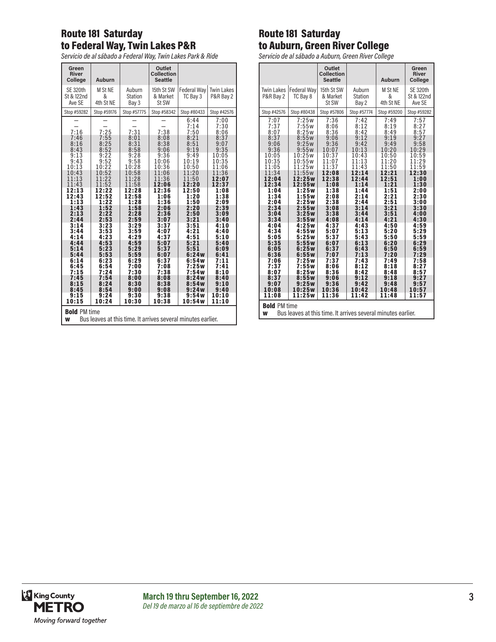# Route 181 Saturday to Federal Way, Twin Lakes P&R

*Servicio de al sábado a Federal Way, Twin Lakes Park & Ride*

| Green<br>River<br>College                                                                | <b>Auburn</b>                        |                                      | Outlet<br><b>Collection</b><br><b>Seattle</b> |                                       |                                           |
|------------------------------------------------------------------------------------------|--------------------------------------|--------------------------------------|-----------------------------------------------|---------------------------------------|-------------------------------------------|
| <b>SE 320th</b><br>St & 122nd<br>Ave SE                                                  | M St NE<br>&<br>4th St NE            | Auburn<br>Station<br>Bay 3           | 15th St SW<br>& Market<br>St SW               | <b>Federal Way</b><br>TC Bay 3        | <b>Twin Lakes</b><br>P&R Bay 2            |
| Stop #59282                                                                              | Stop #59176                          | Stop #57775                          | Stop #58342                                   | Stop #80433                           | Stop #42576                               |
| 7:16                                                                                     | 7:25                                 | 7:31                                 | 7:38                                          | 6:44<br>7:14<br>7:50                  | 7:00<br>7:30<br>8:06                      |
| 7:46<br>8:16<br>8:43<br>9:13<br>9:43                                                     | 7:55<br>8:25<br>8:52<br>9:22<br>9:52 | 8:01<br>8:31<br>8:58<br>9:28<br>9:58 | 8:08<br>8:38<br>9:06<br>9:36                  | 8:21<br>8:51<br>9:19<br>9:49<br>10:19 | 8:37<br>9:07<br>9:35<br>10:05             |
| 10:13<br>10:43<br>11:13<br>11:43                                                         | 10:22<br>10:52<br>11:22<br>11:52     | 10:28<br>10:58<br>11:28<br>11:58     | 10:06<br>10:36<br>11:06<br>11:36<br>12:06     | 10:50<br>11:20<br>11:50<br>12:20      | 10:35<br>11:06<br>11:36<br>12:07<br>12:37 |
| 12:13<br>12:43<br>1:13                                                                   | 12:22<br>12:52<br>1:22               | 12:28<br>12:58<br>1:28               | 12:36<br>1:06<br>1:36                         | 12:50<br>1:20<br>1:50                 | 1:08<br>1:38<br>2:09                      |
| 1:43<br>2:13<br>2:44<br>3:14                                                             | 1:52<br>2:22<br>2:53<br>3:23         | 1:58<br>2:28<br>2:59<br>3:29         | 2:06<br>2:36<br>3:07<br>3:37                  | 2:20<br>2:50<br>3:21<br>3:51          | 2:39<br>3:09<br>3:40<br>4:10              |
| 3:44<br>4:14                                                                             | 3:53<br>4:23<br>4:53                 | 3:59<br>4:29                         | 4:07<br>4:37                                  | 4:21<br>4:51                          | 4:40<br>5:10                              |
| 4:44<br>5:14<br>5:44                                                                     | 5:23<br>5:53                         | 4:59<br>5:29<br>5:59                 | 5:07<br>5:37<br>6:07                          | 5:21<br>5:51<br>6:24w                 | 5:40<br>6:09<br>6:41                      |
| 6:14<br>6:45<br>7:15                                                                     | 6:23<br>6:54<br>7:24                 | 6:29<br>7:00<br>7:30                 | 6:37<br>7:08<br>7:38                          | 6:54w<br>7:25w<br>7:54w               | 7:11<br>7:41<br>8:10                      |
| 7:45<br>8:15<br>8:45                                                                     | 7:54<br>8:24<br>8:54                 | 8:00<br>8:30<br>9:00                 | 8:08<br>8:38<br>9:08                          | 8:24w<br>8:54w<br>9:24w               | 8:40<br>9:10<br>9:40                      |
| 9:15<br>10:15                                                                            | 9:24<br>10:24                        | 9:30<br>10:30                        | 9:38<br>10:38                                 | 9:54w<br>10:54w                       | 10:10<br>11:10                            |
| <b>Bold PM time</b><br>Bus leaves at this time. It arrives several minutes earlier.<br>W |                                      |                                      |                                               |                                       |                                           |

#### Route 181 Saturday to Auburn, Green River College

*Servicio de al sábado a Auburn, Green River College*

|                                                                                          |                                | Outlet<br><b>Collection</b><br><b>Seattle</b> |                                   | <b>Auburn</b>             | Green<br><b>River</b><br>College        |
|------------------------------------------------------------------------------------------|--------------------------------|-----------------------------------------------|-----------------------------------|---------------------------|-----------------------------------------|
| <b>Twin Lakes</b><br>P&R Bay 2                                                           | <b>Federal Way</b><br>TC Bay 8 | 15th St SW<br>& Market<br>St SW               | Auburn<br><b>Station</b><br>Bay 2 | M St NE<br>&<br>4th St NE | <b>SE 320th</b><br>St & 122nd<br>Ave SE |
| Stop #42576                                                                              | Stop #80438                    | Stop #57806                                   | Stop #57774                       | Stop #59200               | Stop #59282                             |
| 7:07                                                                                     | 7:25w                          | 7:36                                          | 7:42                              | 7:49                      | 7:57                                    |
| 7:37                                                                                     | 7:55w                          | 8:06                                          | 8:12                              | 8:19                      | 8:27                                    |
| 8:07                                                                                     | 8:25w                          | 8:36                                          | 8:42                              | 8:49                      | 8:57                                    |
| 8:37                                                                                     | 8:55w                          | 9:06                                          | 9:12                              | 9:19                      | 9:27                                    |
| 9:06                                                                                     | 9:25w                          | 9:36                                          | 9:42                              | 9:49                      | 9:58                                    |
| 9:36                                                                                     | 9:55w                          | 10:07                                         | 10:13                             | 10:20                     | 10:29                                   |
| 10:05                                                                                    | 10:25w                         | 10:37                                         | 10:43                             | 10:50                     | 10:59                                   |
| 10:35                                                                                    | 10:55w                         | 11:07                                         | 11:13                             | 11:20                     | 11:29                                   |
| 11:05                                                                                    | 11:25w                         | 11:37                                         | 11:43                             | 11:50                     | 11:59                                   |
| 11:34                                                                                    | 11:55w                         | 12:08                                         | 12:14                             | 12:21                     | 12:30                                   |
| 12:04                                                                                    | 12:25w                         | 12:38                                         | 12:44                             | 12:51                     | 1:00                                    |
| 12:34                                                                                    | 12:55w                         | 1:08                                          | 1:14                              | 1:21                      | 1:30                                    |
| 1:04                                                                                     | 1:25w                          | 1:38                                          | 1:44                              | 1:51                      | 2:00                                    |
| 1:34                                                                                     | 1:55w                          | 2:08                                          | 2:14                              | 2:21                      | 2:30                                    |
| 2:04                                                                                     | 2:25w                          | 2:38                                          | 2:44                              | 2:51                      | 3:00                                    |
| 2:34                                                                                     | 2:55w                          | 3:08                                          | 3:14                              | 3:21                      | 3:30                                    |
| 3:04                                                                                     | 3:25w                          | 3:38                                          | 3:44                              | 3:51                      | 4:00                                    |
| 3:34                                                                                     | 3:55W                          | 4:08                                          | 4:14                              | 4:21                      | 4:30                                    |
| 4:04                                                                                     | 4:25w                          | 4:37                                          | 4:43                              | 4:50                      | 4:59                                    |
| 4:34                                                                                     | 4:55w                          | 5:07                                          | 5:13                              | 5:20                      | 5:29                                    |
| 5:05                                                                                     | 5:25w                          | 5:37                                          | 5:43                              | 5:50                      | 5:59                                    |
| 5:35                                                                                     | 5:55w                          | 6:07                                          | 6:13                              | 6:20                      | 6:29                                    |
| 6:05                                                                                     | 6:25w                          | 6:37                                          | 6:43                              | 6:50                      | 6:59                                    |
| 6:36                                                                                     | 6:55W                          | 7:07                                          | 7:13                              | 7:20                      | 7:29                                    |
| 7:06                                                                                     | 7:25w                          | 7:37                                          | 7:43                              | 7:49                      | 7:58                                    |
| 7:37                                                                                     | 7:55w                          | 8:06                                          | 8:12                              | 8:18                      | 8:27                                    |
| 8:07                                                                                     | 8:25w                          | 8:36                                          | 8:42                              | 8:48                      | 8:57                                    |
| 8:37                                                                                     | 8:55W                          | 9:06                                          | 9:12                              | 9:18                      | 9:27                                    |
| 9:07                                                                                     | 9:25w                          | 9:36                                          | 9:42                              | 9:48                      | 9:57                                    |
| 10:08                                                                                    | 10:25w                         | 10:36                                         | 10:42                             | 10:48                     | 10:57                                   |
| 11:08                                                                                    | 11:25w                         | 11:36                                         | 11:42                             | 11:48                     | 11:57                                   |
| <b>Bold PM time</b><br>Bus leaves at this time. It arrives several minutes earlier.<br>W |                                |                                               |                                   |                           |                                         |